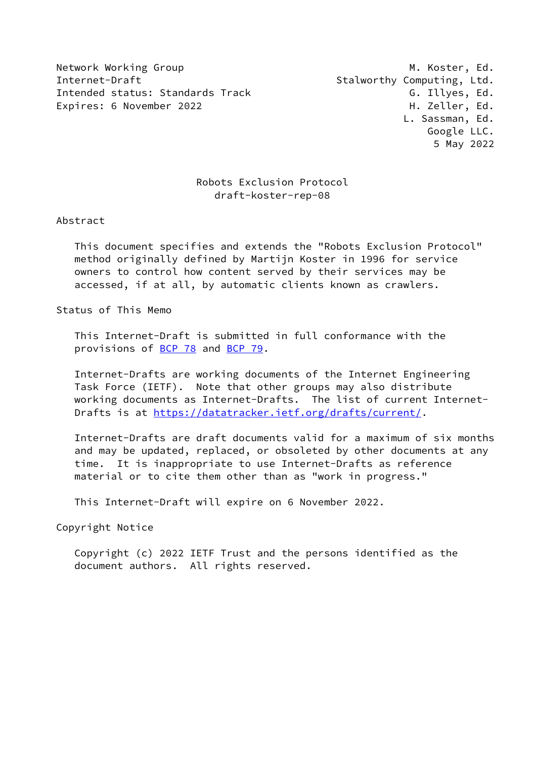Network Working Group Metwork Working Group Metwork Metwork Metal Internet-Draft **Stalworthy Computing, Ltd.** Intended status: Standards Track G. Illyes, Ed. Expires: 6 November 2022 **H. Zeller, Ed.** 

# Robots Exclusion Protocol draft-koster-rep-08

## Abstract

 This document specifies and extends the "Robots Exclusion Protocol" method originally defined by Martijn Koster in 1996 for service owners to control how content served by their services may be accessed, if at all, by automatic clients known as crawlers.

Status of This Memo

 This Internet-Draft is submitted in full conformance with the provisions of [BCP 78](https://datatracker.ietf.org/doc/pdf/bcp78) and [BCP 79](https://datatracker.ietf.org/doc/pdf/bcp79).

 Internet-Drafts are working documents of the Internet Engineering Task Force (IETF). Note that other groups may also distribute working documents as Internet-Drafts. The list of current Internet- Drafts is at<https://datatracker.ietf.org/drafts/current/>.

 Internet-Drafts are draft documents valid for a maximum of six months and may be updated, replaced, or obsoleted by other documents at any time. It is inappropriate to use Internet-Drafts as reference material or to cite them other than as "work in progress."

This Internet-Draft will expire on 6 November 2022.

Copyright Notice

 Copyright (c) 2022 IETF Trust and the persons identified as the document authors. All rights reserved.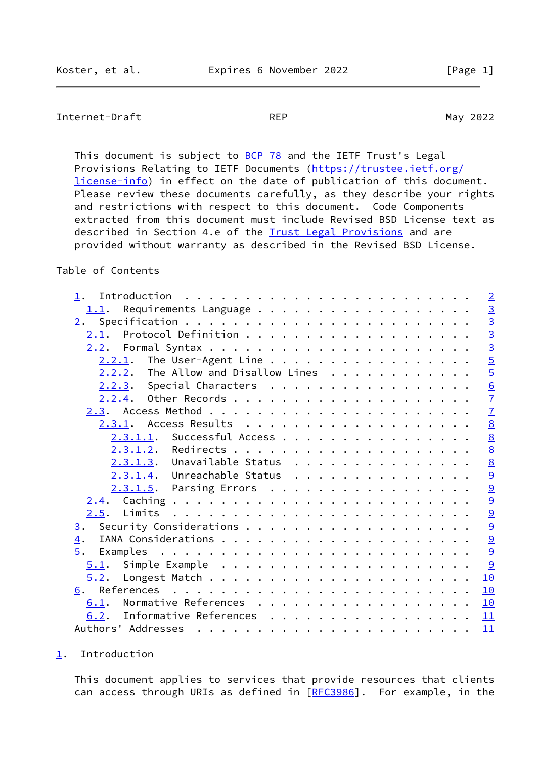# <span id="page-1-1"></span>Internet-Draft REP REP May 2022

This document is subject to **[BCP 78](https://datatracker.ietf.org/doc/pdf/bcp78)** and the IETF Trust's Legal Provisions Relating to IETF Documents ([https://trustee.ietf.org/](https://trustee.ietf.org/license-info) [license-info](https://trustee.ietf.org/license-info)) in effect on the date of publication of this document. Please review these documents carefully, as they describe your rights and restrictions with respect to this document. Code Components extracted from this document must include Revised BSD License text as described in Section 4.e of the **Trust Legal Provisions** and are provided without warranty as described in the Revised BSD License.

# Table of Contents

| $\overline{2}$  |
|-----------------|
|                 |
| $\frac{3}{2}$   |
|                 |
| $\frac{3}{3}$   |
| $\overline{5}$  |
| $\overline{5}$  |
| $\underline{6}$ |
| $\overline{1}$  |
| $\overline{1}$  |
| 8               |
| $\underline{8}$ |
| $\underline{8}$ |
| $\underline{8}$ |
| $\underline{9}$ |
| $\overline{a}$  |
| $\overline{9}$  |
| $\underline{9}$ |
| $\overline{a}$  |
| $\overline{9}$  |
| $\overline{9}$  |
| 9               |
| 10              |
| 10              |
| 10              |
| 11              |
| 11              |
|                 |

#### <span id="page-1-0"></span>[1](#page-1-0). Introduction

 This document applies to services that provide resources that clients can access through URIs as defined in [[RFC3986](https://datatracker.ietf.org/doc/pdf/rfc3986)]. For example, in the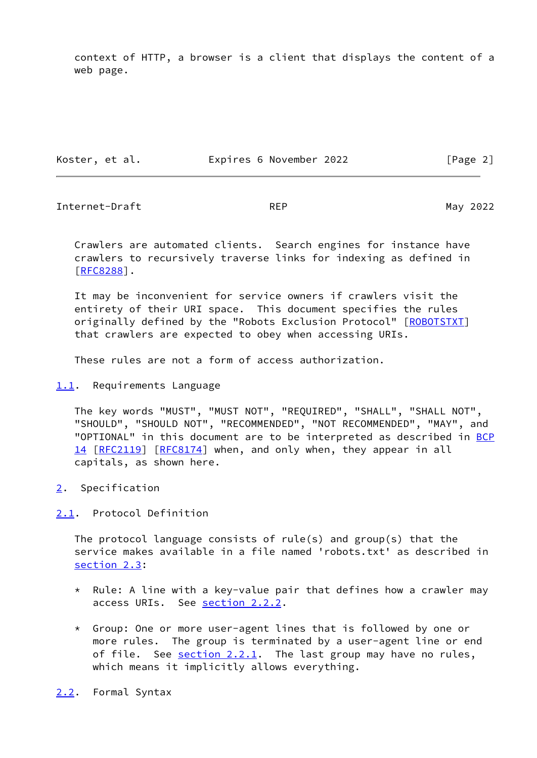context of HTTP, a browser is a client that displays the content of a web page.

Koster, et al. **Expires 6 November 2022** [Page 2]

<span id="page-2-1"></span>Internet-Draft **REP** REP May 2022

 Crawlers are automated clients. Search engines for instance have crawlers to recursively traverse links for indexing as defined in [\[RFC8288](https://datatracker.ietf.org/doc/pdf/rfc8288)].

 It may be inconvenient for service owners if crawlers visit the entirety of their URI space. This document specifies the rules originally defined by the "Robots Exclusion Protocol" [[ROBOTSTXT\]](#page-11-2) that crawlers are expected to obey when accessing URIs.

These rules are not a form of access authorization.

## <span id="page-2-0"></span>[1.1](#page-2-0). Requirements Language

 The key words "MUST", "MUST NOT", "REQUIRED", "SHALL", "SHALL NOT", "SHOULD", "SHOULD NOT", "RECOMMENDED", "NOT RECOMMENDED", "MAY", and "OPTIONAL" in this document are to be interpreted as described in [BCP](https://datatracker.ietf.org/doc/pdf/bcp14) [14](https://datatracker.ietf.org/doc/pdf/bcp14) [[RFC2119\]](https://datatracker.ietf.org/doc/pdf/rfc2119) [\[RFC8174](https://datatracker.ietf.org/doc/pdf/rfc8174)] when, and only when, they appear in all capitals, as shown here.

<span id="page-2-2"></span>[2](#page-2-2). Specification

## <span id="page-2-3"></span>[2.1](#page-2-3). Protocol Definition

 The protocol language consists of rule(s) and group(s) that the service makes available in a file named 'robots.txt' as described in [section 2.3](#page-7-1):

- \* Rule: A line with a key-value pair that defines how a crawler may access URIs. See [section 2.2.2](#page-5-0).
- \* Group: One or more user-agent lines that is followed by one or more rules. The group is terminated by a user-agent line or end of file. See  $section 2.2.1$ . The last group may have no rules, which means it implicitly allows everything.
- <span id="page-2-4"></span>[2.2](#page-2-4). Formal Syntax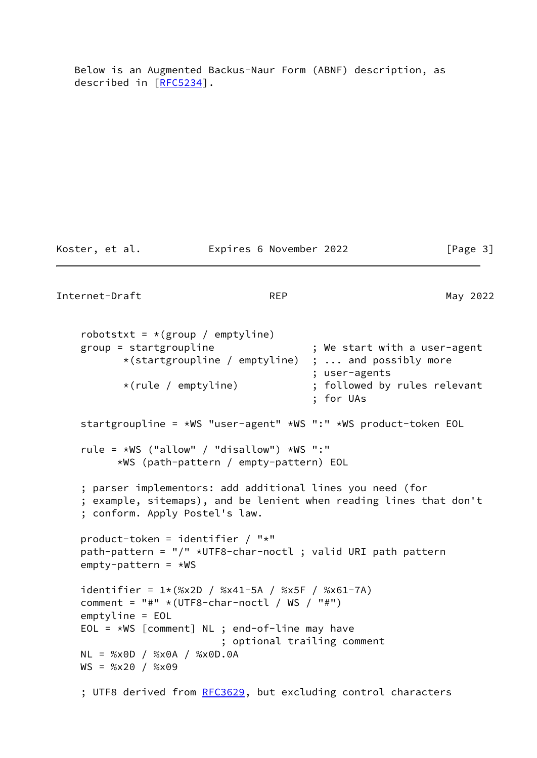Below is an Augmented Backus-Naur Form (ABNF) description, as described in [\[RFC5234](https://datatracker.ietf.org/doc/pdf/rfc5234)].

Koster, et al. Expires 6 November 2022 [Page 3]

Internet-Draft REP REP May 2022

robotstxt =  $*(group / emptyline)$  group = startgroupline ; We start with a user-agent \*(startgroupline / emptyline) ; ... and possibly more ; user-agents \*(rule / emptyline) ; followed by rules relevant ; for UAs startgroupline = \*WS "user-agent" \*WS ":" \*WS product-token EOL rule = \*WS ("allow" / "disallow") \*WS ":" \*WS (path-pattern / empty-pattern) EOL

```
 ; parser implementors: add additional lines you need (for
 ; example, sitemaps), and be lenient when reading lines that don't
 ; conform. Apply Postel's law.
```

```
 product-token = identifier / "*"
path-pattern = \sqrt{''} *UTF8-char-noctl ; valid URI path pattern
empty-pattern = *WS
```

```
identifier = 1*(%x2D / %x41-5A / %x5F / %x61-7A)comment = "#" * (UTF8-char-noctl / WS / "#") emptyline = EOL
EOL = *WS [comment] NL ; end-of-line may have
                        ; optional trailing comment
 NL = %x0D / %x0A / %x0D.0A
WS = %x20 / %x09
```
; UTF8 derived from [RFC3629](https://datatracker.ietf.org/doc/pdf/rfc3629), but excluding control characters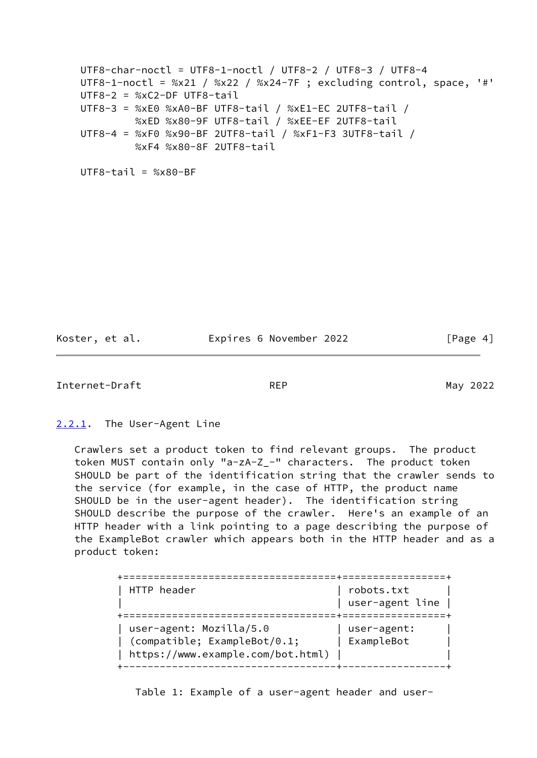```
 UTF8-char-noctl = UTF8-1-noctl / UTF8-2 / UTF8-3 / UTF8-4
UTF8-1-noctl = %x21 / %x22 / %x24-7F; excluding control, space, '#'
 UTF8-2 = %xC2-DF UTF8-tail
 UTF8-3 = %xE0 %xA0-BF UTF8-tail / %xE1-EC 2UTF8-tail /
          %xED %x80-9F UTF8-tail / %xEE-EF 2UTF8-tail
 UTF8-4 = %xF0 %x90-BF 2UTF8-tail / %xF1-F3 3UTF8-tail /
          %xF4 %x80-8F 2UTF8-tail
```
 $UTF8-tail = %x80-RF$ 

Koster, et al. **Expires 6 November 2022** [Page 4]

<span id="page-4-1"></span>Internet-Draft REP REP May 2022

#### <span id="page-4-0"></span>[2.2.1](#page-4-0). The User-Agent Line

 Crawlers set a product token to find relevant groups. The product token MUST contain only "a-zA-Z\_-" characters. The product token SHOULD be part of the identification string that the crawler sends to the service (for example, in the case of HTTP, the product name SHOULD be in the user-agent header). The identification string SHOULD describe the purpose of the crawler. Here's an example of an HTTP header with a link pointing to a page describing the purpose of the ExampleBot crawler which appears both in the HTTP header and as a product token:

| HTTP header                                                                                  | robots.txt<br>user-agent line |
|----------------------------------------------------------------------------------------------|-------------------------------|
| user-agent: Mozilla/5.0<br>(compatible; ExampleBot/0.1;<br>https://www.example.com/bot.html) | user-agent:<br>ExampleBot     |

Table 1: Example of a user-agent header and user-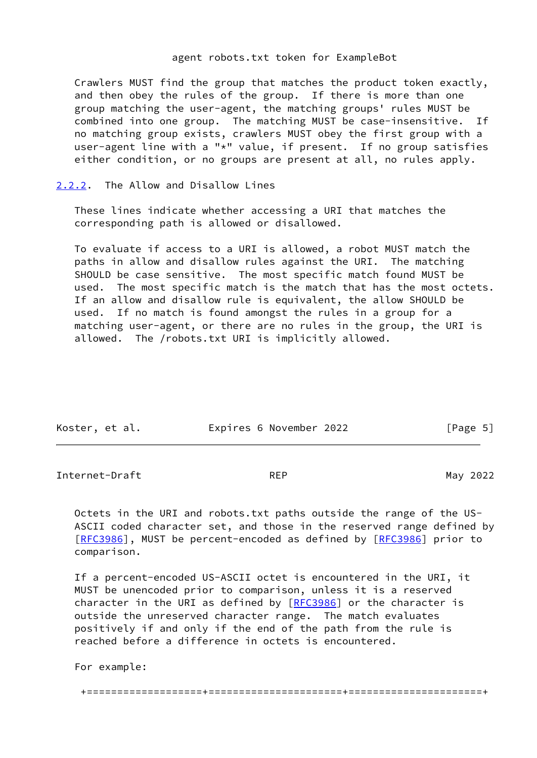#### agent robots.txt token for ExampleBot

 Crawlers MUST find the group that matches the product token exactly, and then obey the rules of the group. If there is more than one group matching the user-agent, the matching groups' rules MUST be combined into one group. The matching MUST be case-insensitive. If no matching group exists, crawlers MUST obey the first group with a user-agent line with a "\*" value, if present. If no group satisfies either condition, or no groups are present at all, no rules apply.

## <span id="page-5-0"></span>[2.2.2](#page-5-0). The Allow and Disallow Lines

 These lines indicate whether accessing a URI that matches the corresponding path is allowed or disallowed.

 To evaluate if access to a URI is allowed, a robot MUST match the paths in allow and disallow rules against the URI. The matching SHOULD be case sensitive. The most specific match found MUST be used. The most specific match is the match that has the most octets. If an allow and disallow rule is equivalent, the allow SHOULD be used. If no match is found amongst the rules in a group for a matching user-agent, or there are no rules in the group, the URI is allowed. The /robots.txt URI is implicitly allowed.

| Koster, et al. | Expires 6 November 2022 | [Page 5] |
|----------------|-------------------------|----------|
|                |                         |          |

<span id="page-5-1"></span>Internet-Draft REP REP May 2022

 Octets in the URI and robots.txt paths outside the range of the US- ASCII coded character set, and those in the reserved range defined by [\[RFC3986](https://datatracker.ietf.org/doc/pdf/rfc3986)], MUST be percent-encoded as defined by [RFC3986] prior to comparison.

 If a percent-encoded US-ASCII octet is encountered in the URI, it MUST be unencoded prior to comparison, unless it is a reserved character in the URI as defined by  $[REC3986]$  or the character is outside the unreserved character range. The match evaluates positively if and only if the end of the path from the rule is reached before a difference in octets is encountered.

For example:

+===================+======================+======================+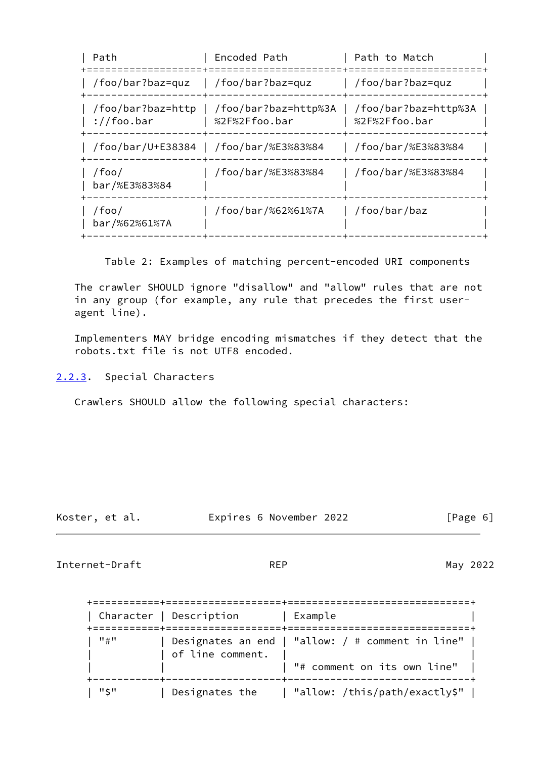| Path                                         | Encoded Path                           | Path to Match                         |
|----------------------------------------------|----------------------------------------|---------------------------------------|
| /foo/bar?baz=quz                             | /foo/bar?baz=quz                       | /foo/bar?baz=quz                      |
| /foo/bar?baz=http<br>$\frac{1}{2}$ //foo.bar | /foo/bar?baz=http%3A<br>%2F%2Ffoo.bar  | /foo/bar?baz=http%3A<br>%2F%2Ffoo.bar |
|                                              | /foo/bar/U+E38384   /foo/bar/%E3%83%84 | /foo/bar/%E3%83%84                    |
| /foo/<br>bar/%E3%83%84                       | /foo/bar/%E3%83%84                     | /foo/bar/%E3%83%84                    |
| /foo/<br>bar/%62%61%7A                       | /foo/bar/%62%61%7A                     | /foo/bar/baz                          |

Table 2: Examples of matching percent-encoded URI components

 The crawler SHOULD ignore "disallow" and "allow" rules that are not in any group (for example, any rule that precedes the first user agent line).

 Implementers MAY bridge encoding mismatches if they detect that the robots.txt file is not UTF8 encoded.

<span id="page-6-0"></span>[2.2.3](#page-6-0). Special Characters

Crawlers SHOULD allow the following special characters:

Koster, et al. Expires 6 November 2022 [Page 6]

<span id="page-6-1"></span>Internet-Draft REP REP May 2022

|       | Character   Description | Example                                                                             |
|-------|-------------------------|-------------------------------------------------------------------------------------|
| " # " | of line comment.        | Designates an end   "allow: $/$ # comment in line"  <br>"# comment on its own line" |
| "\$"  | Designates the          | "allow: /this/path/exactly\$"                                                       |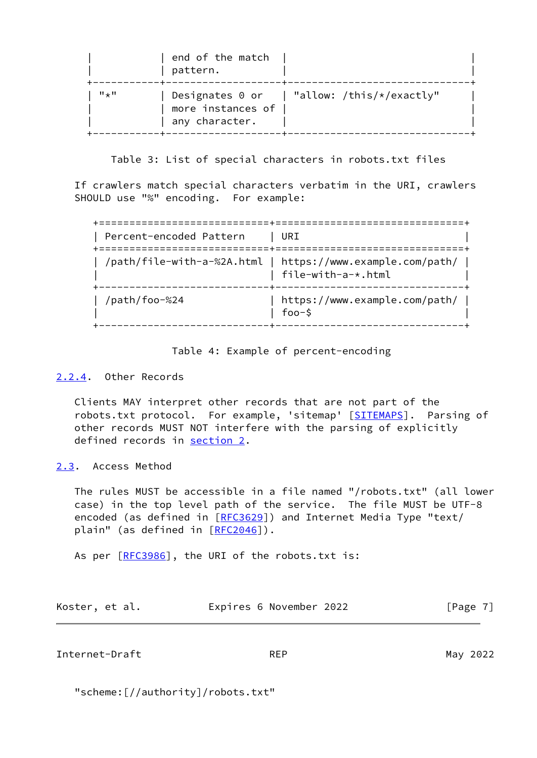|                  | end of the match<br>pattern.        |                                                        |
|------------------|-------------------------------------|--------------------------------------------------------|
| $H \downarrow H$ | more instances of<br>any character. | Designates $0$ or $\parallel$ "allow: /this/*/exactly" |

Table 3: List of special characters in robots.txt files

 If crawlers match special characters verbatim in the URI, crawlers SHOULD use "%" encoding. For example:

| Percent-encoded Pattern | URI                                                                              |
|-------------------------|----------------------------------------------------------------------------------|
|                         | /path/file-with-a-%2A.html   https://www.example.com/path/<br>file-with-a-*.html |
| /path/foo-%24           | https://www.example.com/path/<br>$foo-$ \$                                       |

Table 4: Example of percent-encoding

## <span id="page-7-0"></span>[2.2.4](#page-7-0). Other Records

 Clients MAY interpret other records that are not part of the robots.txt protocol. For example, 'sitemap' [\[SITEMAPS](#page-12-0)]. Parsing of other records MUST NOT interfere with the parsing of explicitly defined records in [section 2.](#page-2-2)

<span id="page-7-1"></span>[2.3](#page-7-1). Access Method

 The rules MUST be accessible in a file named "/robots.txt" (all lower case) in the top level path of the service. The file MUST be UTF-8 encoded (as defined in [\[RFC3629](https://datatracker.ietf.org/doc/pdf/rfc3629)]) and Internet Media Type "text/ plain" (as defined in [[RFC2046](https://datatracker.ietf.org/doc/pdf/rfc2046)]).

As per [\[RFC3986](https://datatracker.ietf.org/doc/pdf/rfc3986)], the URI of the robots.txt is:

|  | Koster, et al. | Expires 6 November 2022 | [Page 7] |
|--|----------------|-------------------------|----------|
|--|----------------|-------------------------|----------|

<span id="page-7-2"></span>Internet-Draft REP REP May 2022

"scheme:[//authority]/robots.txt"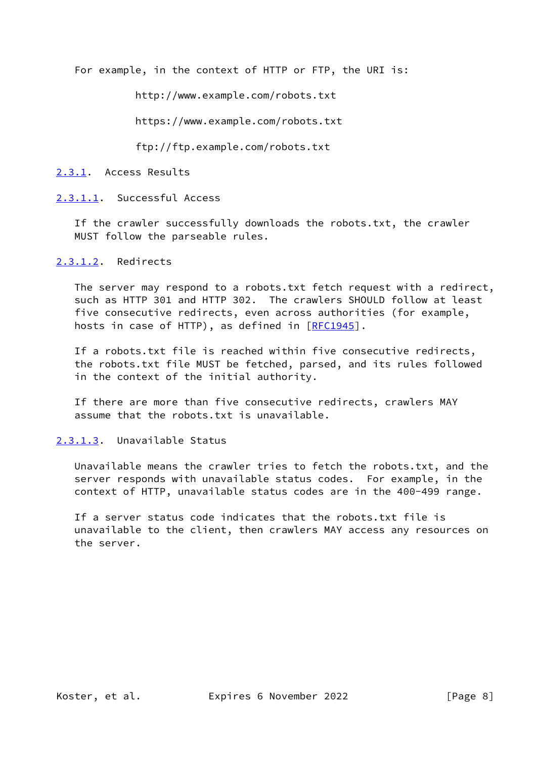For example, in the context of HTTP or FTP, the URI is:

http://www.example.com/robots.txt

https://www.example.com/robots.txt

ftp://ftp.example.com/robots.txt

<span id="page-8-0"></span>[2.3.1](#page-8-0). Access Results

<span id="page-8-1"></span>[2.3.1.1](#page-8-1). Successful Access

 If the crawler successfully downloads the robots.txt, the crawler MUST follow the parseable rules.

<span id="page-8-2"></span>[2.3.1.2](#page-8-2). Redirects

 The server may respond to a robots.txt fetch request with a redirect, such as HTTP 301 and HTTP 302. The crawlers SHOULD follow at least five consecutive redirects, even across authorities (for example, hosts in case of HTTP), as defined in [[RFC1945](https://datatracker.ietf.org/doc/pdf/rfc1945)].

 If a robots.txt file is reached within five consecutive redirects, the robots.txt file MUST be fetched, parsed, and its rules followed in the context of the initial authority.

 If there are more than five consecutive redirects, crawlers MAY assume that the robots.txt is unavailable.

<span id="page-8-3"></span>[2.3.1.3](#page-8-3). Unavailable Status

 Unavailable means the crawler tries to fetch the robots.txt, and the server responds with unavailable status codes. For example, in the context of HTTP, unavailable status codes are in the 400-499 range.

 If a server status code indicates that the robots.txt file is unavailable to the client, then crawlers MAY access any resources on the server.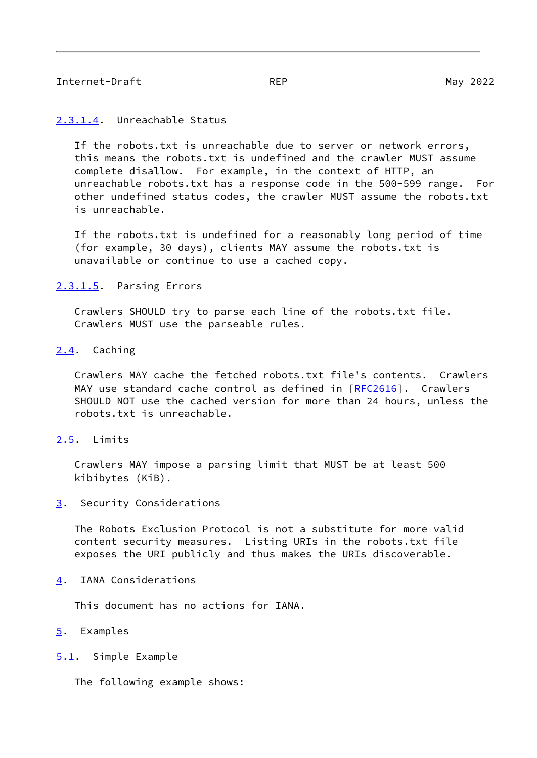## <span id="page-9-1"></span>Internet-Draft REP REP May 2022

#### <span id="page-9-0"></span>[2.3.1.4](#page-9-0). Unreachable Status

If the robots.txt is unreachable due to server or network errors, this means the robots.txt is undefined and the crawler MUST assume complete disallow. For example, in the context of HTTP, an unreachable robots.txt has a response code in the 500-599 range. For other undefined status codes, the crawler MUST assume the robots.txt is unreachable.

 If the robots.txt is undefined for a reasonably long period of time (for example, 30 days), clients MAY assume the robots.txt is unavailable or continue to use a cached copy.

#### <span id="page-9-2"></span>[2.3.1.5](#page-9-2). Parsing Errors

 Crawlers SHOULD try to parse each line of the robots.txt file. Crawlers MUST use the parseable rules.

#### <span id="page-9-3"></span>[2.4](#page-9-3). Caching

 Crawlers MAY cache the fetched robots.txt file's contents. Crawlers MAY use standard cache control as defined in [\[RFC2616](https://datatracker.ietf.org/doc/pdf/rfc2616)]. Crawlers SHOULD NOT use the cached version for more than 24 hours, unless the robots.txt is unreachable.

#### <span id="page-9-4"></span>[2.5](#page-9-4). Limits

 Crawlers MAY impose a parsing limit that MUST be at least 500 kibibytes (KiB).

### <span id="page-9-5"></span>[3](#page-9-5). Security Considerations

 The Robots Exclusion Protocol is not a substitute for more valid content security measures. Listing URIs in the robots.txt file exposes the URI publicly and thus makes the URIs discoverable.

#### <span id="page-9-6"></span>[4](#page-9-6). IANA Considerations

This document has no actions for IANA.

## <span id="page-9-7"></span>[5](#page-9-7). Examples

<span id="page-9-8"></span>[5.1](#page-9-8). Simple Example

The following example shows: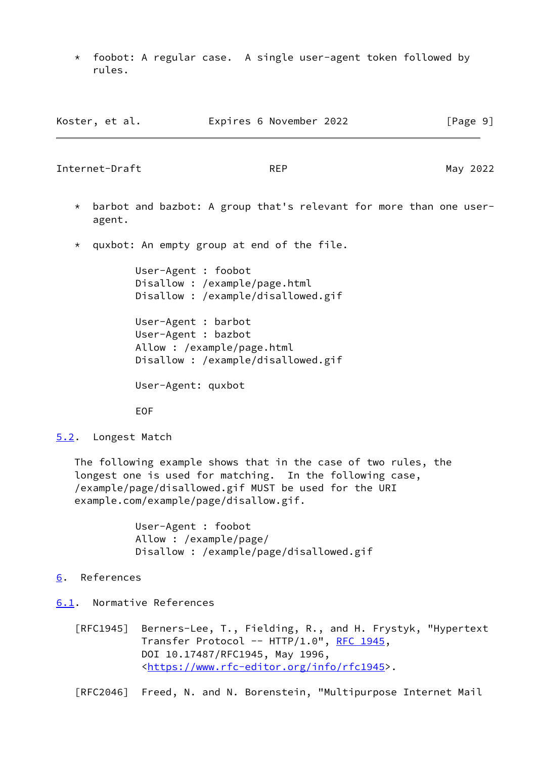\* foobot: A regular case. A single user-agent token followed by rules.

Koster, et al. **Expires 6 November 2022** [Page 9]

<span id="page-10-1"></span>

| Internet-Draft    | <b>REP</b><br>May 2022                                                                   |
|-------------------|------------------------------------------------------------------------------------------|
| $\star$<br>agent. | barbot and bazbot: A group that's relevant for more than one user-                       |
| $\star$           | quxbot: An empty group at end of the file.                                               |
|                   | User-Agent : foobot<br>Disallow: /example/page.html<br>Disallow: /example/disallowed.gif |
|                   | User-Agent : barbot<br>.                                                                 |

 User-Agent : bazbot Allow : /example/page.html Disallow : /example/disallowed.gif

User-Agent: quxbot

EOF

<span id="page-10-0"></span>[5.2](#page-10-0). Longest Match

 The following example shows that in the case of two rules, the longest one is used for matching. In the following case, /example/page/disallowed.gif MUST be used for the URI example.com/example/page/disallow.gif.

> User-Agent : foobot Allow : /example/page/ Disallow : /example/page/disallowed.gif

# <span id="page-10-2"></span>[6](#page-10-2). References

- <span id="page-10-3"></span>[6.1](#page-10-3). Normative References
	- [RFC1945] Berners-Lee, T., Fielding, R., and H. Frystyk, "Hypertext Transfer Protocol -- HTTP/1.0", [RFC 1945,](https://datatracker.ietf.org/doc/pdf/rfc1945) DOI 10.17487/RFC1945, May 1996, <[https://www.rfc-editor.org/info/rfc1945>](https://www.rfc-editor.org/info/rfc1945).

[RFC2046] Freed, N. and N. Borenstein, "Multipurpose Internet Mail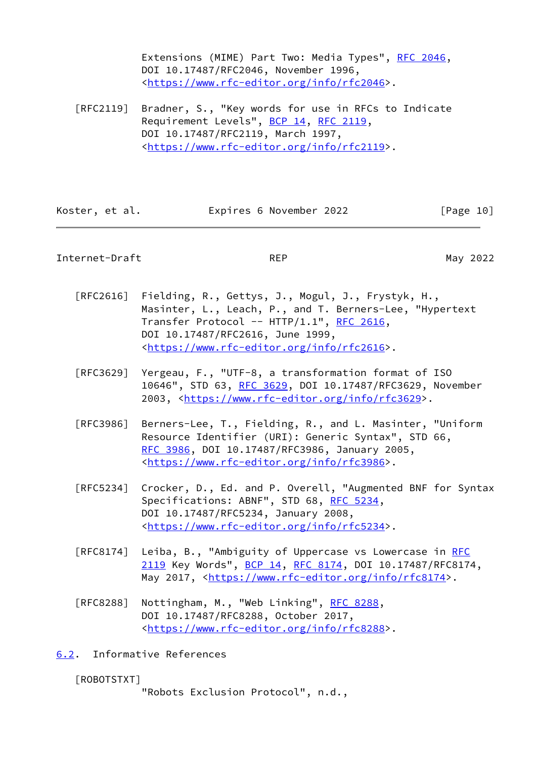Extensions (MIME) Part Two: Media Types", [RFC 2046](https://datatracker.ietf.org/doc/pdf/rfc2046), DOI 10.17487/RFC2046, November 1996, <[https://www.rfc-editor.org/info/rfc2046>](https://www.rfc-editor.org/info/rfc2046).

 [RFC2119] Bradner, S., "Key words for use in RFCs to Indicate Requirement Levels", [BCP 14](https://datatracker.ietf.org/doc/pdf/bcp14), [RFC 2119](https://datatracker.ietf.org/doc/pdf/rfc2119), DOI 10.17487/RFC2119, March 1997, <[https://www.rfc-editor.org/info/rfc2119>](https://www.rfc-editor.org/info/rfc2119).

| Koster, et al. | Expires 6 November 2022 | [Page 10] |
|----------------|-------------------------|-----------|
|----------------|-------------------------|-----------|

## <span id="page-11-1"></span>Internet-Draft REP REP May 2022

- [RFC2616] Fielding, R., Gettys, J., Mogul, J., Frystyk, H., Masinter, L., Leach, P., and T. Berners-Lee, "Hypertext Transfer Protocol -- HTTP/1.1", [RFC 2616,](https://datatracker.ietf.org/doc/pdf/rfc2616) DOI 10.17487/RFC2616, June 1999, <[https://www.rfc-editor.org/info/rfc2616>](https://www.rfc-editor.org/info/rfc2616).
- [RFC3629] Yergeau, F., "UTF-8, a transformation format of ISO 10646", STD 63, [RFC 3629,](https://datatracker.ietf.org/doc/pdf/rfc3629) DOI 10.17487/RFC3629, November 2003, [<https://www.rfc-editor.org/info/rfc3629](https://www.rfc-editor.org/info/rfc3629)>.
- [RFC3986] Berners-Lee, T., Fielding, R., and L. Masinter, "Uniform Resource Identifier (URI): Generic Syntax", STD 66, [RFC 3986,](https://datatracker.ietf.org/doc/pdf/rfc3986) DOI 10.17487/RFC3986, January 2005, <[https://www.rfc-editor.org/info/rfc3986>](https://www.rfc-editor.org/info/rfc3986).
- [RFC5234] Crocker, D., Ed. and P. Overell, "Augmented BNF for Syntax Specifications: ABNF", STD 68, [RFC 5234](https://datatracker.ietf.org/doc/pdf/rfc5234), DOI 10.17487/RFC5234, January 2008, <[https://www.rfc-editor.org/info/rfc5234>](https://www.rfc-editor.org/info/rfc5234).
- [RFC8174] Leiba, B., "Ambiguity of Uppercase vs Lowercase in [RFC](https://datatracker.ietf.org/doc/pdf/rfc2119) [2119](https://datatracker.ietf.org/doc/pdf/rfc2119) Key Words", [BCP 14](https://datatracker.ietf.org/doc/pdf/bcp14), [RFC 8174,](https://datatracker.ietf.org/doc/pdf/rfc8174) DOI 10.17487/RFC8174, May 2017, [<https://www.rfc-editor.org/info/rfc8174](https://www.rfc-editor.org/info/rfc8174)>.
- [RFC8288] Nottingham, M., "Web Linking", [RFC 8288](https://datatracker.ietf.org/doc/pdf/rfc8288), DOI 10.17487/RFC8288, October 2017, <[https://www.rfc-editor.org/info/rfc8288>](https://www.rfc-editor.org/info/rfc8288).
- <span id="page-11-0"></span>[6.2](#page-11-0). Informative References

# <span id="page-11-2"></span>[ROBOTSTXT]

"Robots Exclusion Protocol", n.d.,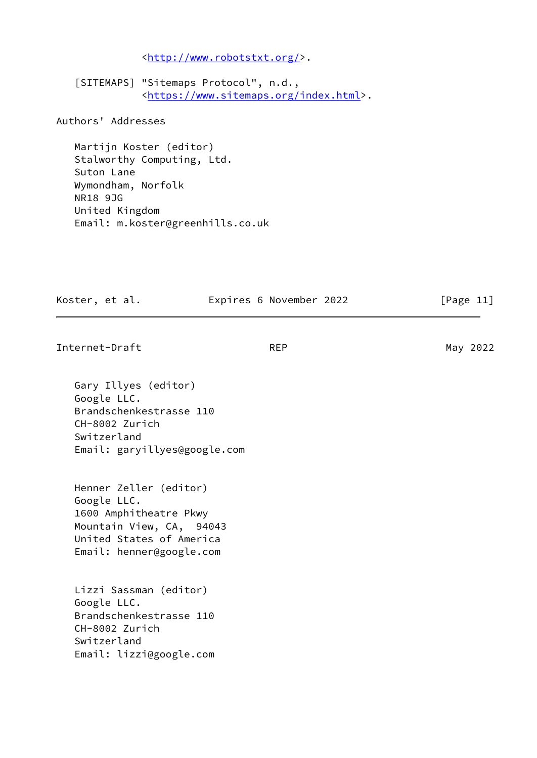<[http://www.robotstxt.org/>](http://www.robotstxt.org/).

<span id="page-12-0"></span> [SITEMAPS] "Sitemaps Protocol", n.d., <[https://www.sitemaps.org/index.html>](https://www.sitemaps.org/index.html).

Authors' Addresses

 Martijn Koster (editor) Stalworthy Computing, Ltd. Suton Lane Wymondham, Norfolk NR18 9JG United Kingdom Email: m.koster@greenhills.co.uk

Koster, et al. **Expires 6 November 2022** [Page 11]

Internet-Draft REP REP May 2022

 Gary Illyes (editor) Google LLC. Brandschenkestrasse 110 CH-8002 Zurich Switzerland Email: garyillyes@google.com

 Henner Zeller (editor) Google LLC. 1600 Amphitheatre Pkwy Mountain View, CA, 94043 United States of America Email: henner@google.com

 Lizzi Sassman (editor) Google LLC. Brandschenkestrasse 110 CH-8002 Zurich Switzerland Email: lizzi@google.com